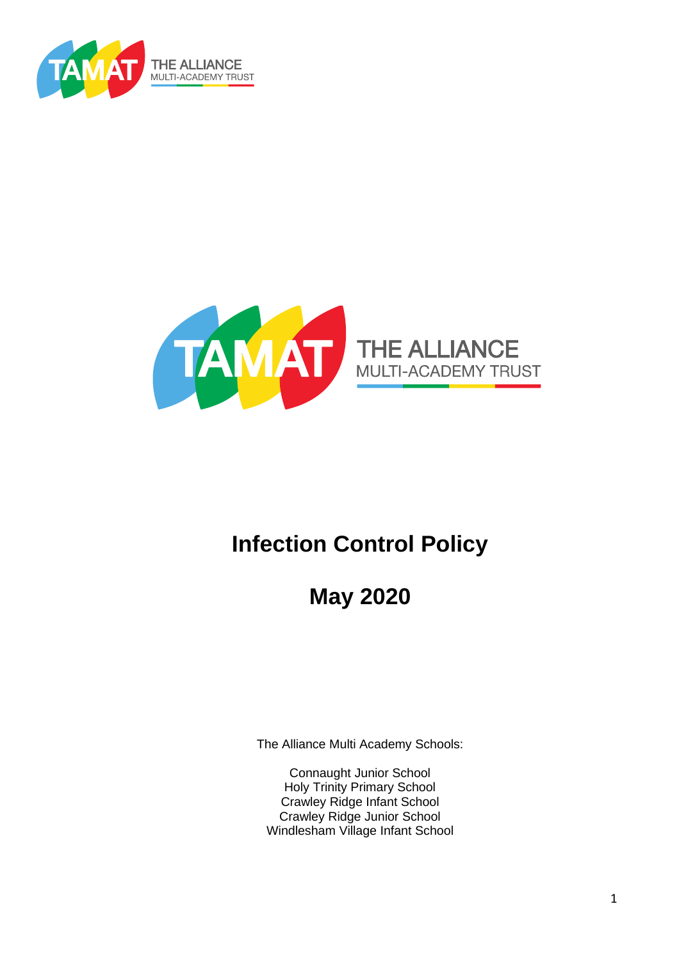



# **Infection Control Policy**

**May 2020**

The Alliance Multi Academy Schools:

Connaught Junior School Holy Trinity Primary School Crawley Ridge Infant School Crawley Ridge Junior School Windlesham Village Infant School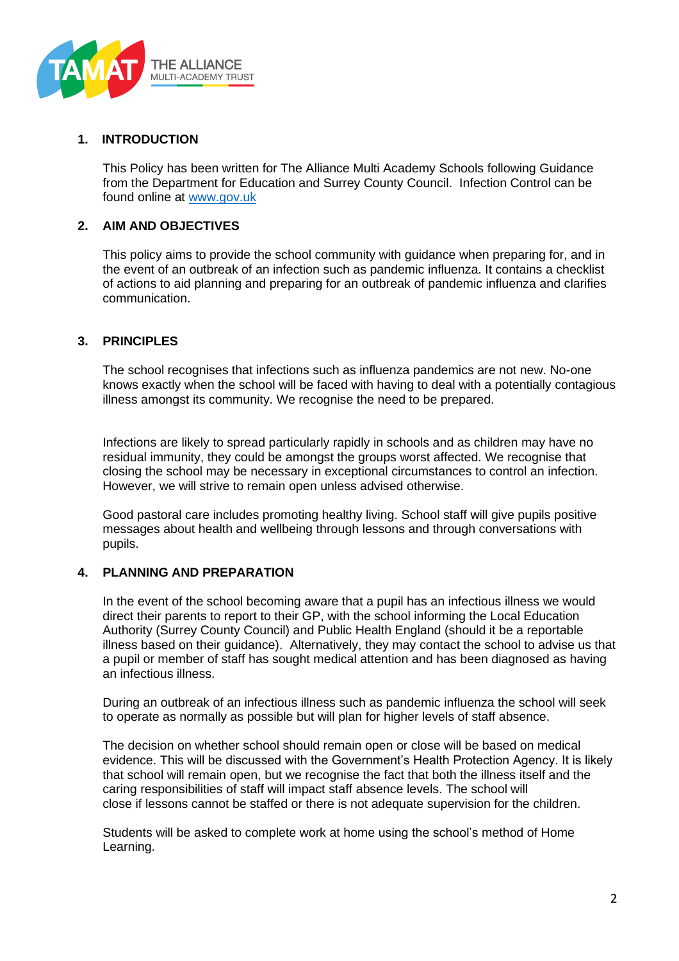

## **1. INTRODUCTION**

This Policy has been written for The Alliance Multi Academy Schools following Guidance from the Department for Education and Surrey County Council. Infection Control can be found online at [www.gov.uk](http://www.gov.uk/) 

# **2. AIM AND OBJECTIVES**

This policy aims to provide the school community with guidance when preparing for, and in the event of an outbreak of an infection such as pandemic influenza. It contains a checklist of actions to aid planning and preparing for an outbreak of pandemic influenza and clarifies communication.

# **3. PRINCIPLES**

The school recognises that infections such as influenza pandemics are not new. No-one knows exactly when the school will be faced with having to deal with a potentially contagious illness amongst its community. We recognise the need to be prepared.

Infections are likely to spread particularly rapidly in schools and as children may have no residual immunity, they could be amongst the groups worst affected. We recognise that closing the school may be necessary in exceptional circumstances to control an infection. However, we will strive to remain open unless advised otherwise.

Good pastoral care includes promoting healthy living. School staff will give pupils positive messages about health and wellbeing through lessons and through conversations with pupils.

### **4. PLANNING AND PREPARATION**

In the event of the school becoming aware that a pupil has an infectious illness we would direct their parents to report to their GP, with the school informing the Local Education Authority (Surrey County Council) and Public Health England (should it be a reportable illness based on their guidance). Alternatively, they may contact the school to advise us that a pupil or member of staff has sought medical attention and has been diagnosed as having an infectious illness.

During an outbreak of an infectious illness such as pandemic influenza the school will seek to operate as normally as possible but will plan for higher levels of staff absence.

The decision on whether school should remain open or close will be based on medical evidence. This will be discussed with the Government's Health Protection Agency. It is likely that school will remain open, but we recognise the fact that both the illness itself and the caring responsibilities of staff will impact staff absence levels. The school will close if lessons cannot be staffed or there is not adequate supervision for the children.

Students will be asked to complete work at home using the school's method of Home Learning.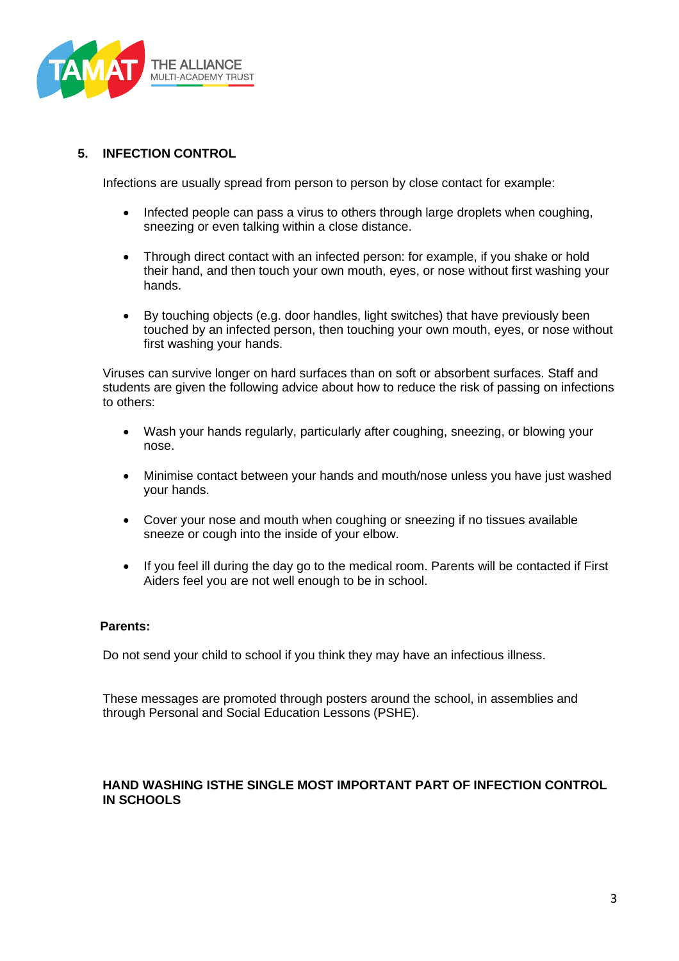

# **5. INFECTION CONTROL**

Infections are usually spread from person to person by close contact for example:

- Infected people can pass a virus to others through large droplets when coughing, sneezing or even talking within a close distance.
- Through direct contact with an infected person: for example, if you shake or hold their hand, and then touch your own mouth, eyes, or nose without first washing your hands.
- By touching objects (e.g. door handles, light switches) that have previously been touched by an infected person, then touching your own mouth, eyes, or nose without first washing your hands.

Viruses can survive longer on hard surfaces than on soft or absorbent surfaces. Staff and students are given the following advice about how to reduce the risk of passing on infections to others:

- Wash your hands regularly, particularly after coughing, sneezing, or blowing your nose.
- Minimise contact between your hands and mouth/nose unless you have just washed your hands.
- Cover your nose and mouth when coughing or sneezing if no tissues available sneeze or cough into the inside of your elbow.
- If you feel ill during the day go to the medical room. Parents will be contacted if First Aiders feel you are not well enough to be in school.

### **Parents:**

Do not send your child to school if you think they may have an infectious illness.

These messages are promoted through posters around the school, in assemblies and through Personal and Social Education Lessons (PSHE).

# **HAND WASHING ISTHE SINGLE MOST IMPORTANT PART OF INFECTION CONTROL IN SCHOOLS**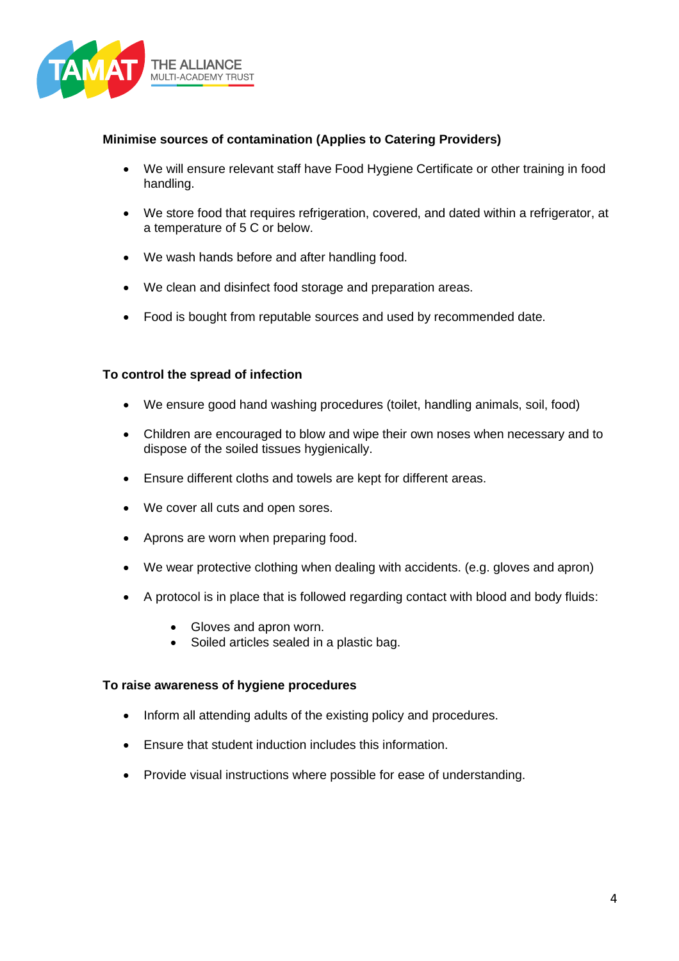

# **Minimise sources of contamination (Applies to Catering Providers)**

- We will ensure relevant staff have Food Hygiene Certificate or other training in food handling.
- We store food that requires refrigeration, covered, and dated within a refrigerator, at a temperature of 5 C or below.
- We wash hands before and after handling food.
- We clean and disinfect food storage and preparation areas.
- Food is bought from reputable sources and used by recommended date.

# **To control the spread of infection**

- We ensure good hand washing procedures (toilet, handling animals, soil, food)
- Children are encouraged to blow and wipe their own noses when necessary and to dispose of the soiled tissues hygienically.
- Ensure different cloths and towels are kept for different areas.
- We cover all cuts and open sores.
- Aprons are worn when preparing food.
- We wear protective clothing when dealing with accidents. (e.g. gloves and apron)
- A protocol is in place that is followed regarding contact with blood and body fluids:
	- Gloves and apron worn.
	- Soiled articles sealed in a plastic bag.

### **To raise awareness of hygiene procedures**

- Inform all attending adults of the existing policy and procedures.
- Ensure that student induction includes this information.
- Provide visual instructions where possible for ease of understanding.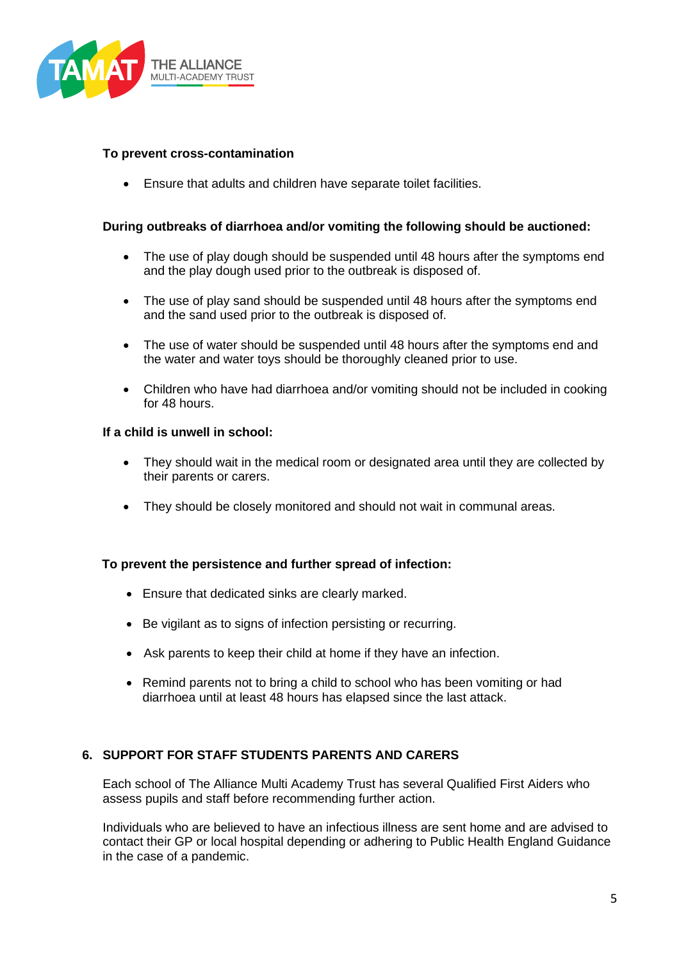

### **To prevent cross-contamination**

• Ensure that adults and children have separate toilet facilities.

### **During outbreaks of diarrhoea and/or vomiting the following should be auctioned:**

- The use of play dough should be suspended until 48 hours after the symptoms end and the play dough used prior to the outbreak is disposed of.
- The use of play sand should be suspended until 48 hours after the symptoms end and the sand used prior to the outbreak is disposed of.
- The use of water should be suspended until 48 hours after the symptoms end and the water and water toys should be thoroughly cleaned prior to use.
- Children who have had diarrhoea and/or vomiting should not be included in cooking for 48 hours.

#### **If a child is unwell in school:**

- They should wait in the medical room or designated area until they are collected by their parents or carers.
- They should be closely monitored and should not wait in communal areas.

#### **To prevent the persistence and further spread of infection:**

- Ensure that dedicated sinks are clearly marked.
- Be vigilant as to signs of infection persisting or recurring.
- Ask parents to keep their child at home if they have an infection.
- Remind parents not to bring a child to school who has been vomiting or had diarrhoea until at least 48 hours has elapsed since the last attack.

### **6. SUPPORT FOR STAFF STUDENTS PARENTS AND CARERS**

Each school of The Alliance Multi Academy Trust has several Qualified First Aiders who assess pupils and staff before recommending further action.

Individuals who are believed to have an infectious illness are sent home and are advised to contact their GP or local hospital depending or adhering to Public Health England Guidance in the case of a pandemic.